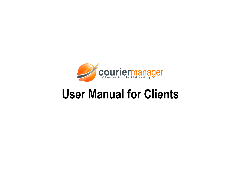

# **User Manual for Clients**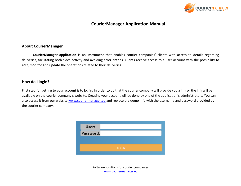

# **CourierManager Application Manual**

#### **About CourierManager**

**CourierManager application** is an instrument that enables courier companies' clients with access to details regarding deliveries, facilitating both sides activity and avoiding error entries. Clients receive access to a user account with the possibility to **edit, monitor and update** the operations related to their deliveries.

## **How do I login?**

First step for getting to your account is to log in. In order to do that the courier company will provide you a link or the link will be available on the courier company's website. Creating your account will be done by one of the application's administrators. You can also access it from our website [www.couriermanager.eu](http://www.couriermanager.eu/) and replace the demo info with the username and password provided by the courier company.

| Password:    |  |
|--------------|--|
|              |  |
|              |  |
| <b>LOGIN</b> |  |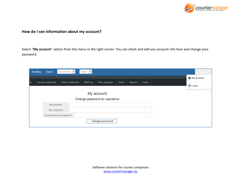

# **How do I see information about my account?**

Select "**My account**" option from the menu in the right corner. You can check and edit you account info here and change your password.

|      | <b>Tracking</b> | <b>Zones</b>        | $\vee$<br>Firma Test SRL     | English<br>$\vert \vee \vert$ |                 |        |         |       |                 |
|------|-----------------|---------------------|------------------------------|-------------------------------|-----------------|--------|---------|-------|-----------------|
|      |                 |                     |                              |                               |                 |        |         |       | My account      |
| les. |                 | Couriers settlement | <b>Clients settlement</b>    | SMS log                       | Other packages  | Series | Reports | Codes | <b>少</b> Logout |
|      |                 |                     |                              |                               |                 |        |         |       |                 |
|      |                 |                     | Change password for userdemo |                               |                 |        |         |       |                 |
|      |                 | Old password:       |                              |                               |                 |        |         |       |                 |
|      | New password:   |                     |                              |                               |                 |        |         |       |                 |
|      |                 |                     | Re-introduce new password:   |                               |                 |        |         |       |                 |
|      |                 |                     |                              |                               | Change password |        |         |       |                 |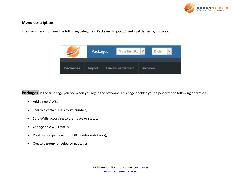

## **Menu description**

The main menu contains the following categories: **Packages, Import, Clients Settlements, Invoices.**



Packages is the first page you see when you log in the software. This page enables you to perform the following operations:

- Add a new AWB;
- Search a certain AWB by its number;
- Sort AWBs according to their date or status;
- Change an AWB's status;
- Print certain packages or CODs (cash-on-delivery);
- Create a group for selected packages.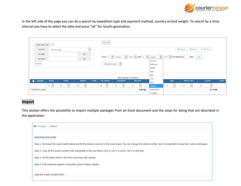

In the left side of the page you can do a search by expedition type and payment method, country or/and weight. To search by a time interval you have to select the date and press "ok" for results generation.

| $\Box$<br>Only with COD                                                       | Add AWB                                                              |                                              |                             |                                    |                            |              |  |  |  |
|-------------------------------------------------------------------------------|----------------------------------------------------------------------|----------------------------------------------|-----------------------------|------------------------------------|----------------------------|--------------|--|--|--|
| $\vert \vee \vert$<br>Country<br>- All countries -                            |                                                                      | Q Search<br>$\sigma$ Reset<br>$\vee$ Confirm |                             |                                    |                            |              |  |  |  |
| At least<br>kg                                                                |                                                                      |                                              |                             |                                    |                            |              |  |  |  |
| kg<br>Less than                                                               | From<br>$\vee$<br>$2017$ $\vee$ until 1<br> v <br>$\perp$<br>August  | $\vert \vee \vert$<br>M<br>August            | $2017$ $\vee$ not delivered | days                               | $ $ Ok                     |              |  |  |  |
| Search                                                                        | - All payment types - $ \mathbf{v} $                                 | January<br>February                          |                             |                                    |                            |              |  |  |  |
|                                                                               |                                                                      | March<br>April                               |                             |                                    |                            |              |  |  |  |
|                                                                               | Show entries 1-0 from 0                                              | May<br>June                                  |                             |                                    |                            |              |  |  |  |
| <b>Status</b><br><b>Client</b><br><b>Sender</b><br><b>Number</b>              | Date<br><b>City sender</b><br><b>Expedition</b><br><b>Receiver</b>   | July                                         | <b>Type</b>                 | <b>Others serv</b>                 | Courier                    | <b>Notes</b> |  |  |  |
| $\vee$<br>$\vee$<br>$-$ All $ \vert \vee \vert$<br>$-$ All $-$<br>$-$ All $-$ | $-$ All $-$<br>$\vee$<br>$\cdot$ - All -<br>$\vee$<br>$\sim$ - All - | $\vee$<br>August                             | $\checkmark$<br>$-$ All $-$ | $\vee$<br>$\left\  - A \right\ $ - | $\alpha$ - All -<br>$\vee$ |              |  |  |  |
| Total for 0 awbs:                                                             |                                                                      | September<br>0.00 kg                         |                             |                                    | $R = 0.00$                 |              |  |  |  |
|                                                                               |                                                                      | October                                      |                             |                                    |                            |              |  |  |  |

#### **Import**

This section offers the possibility to import multiple packages from an Excel document and the steps for doing that are described in the application.

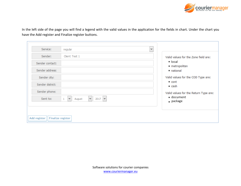

In the left side of the page you will find a legend with the valid values in the application for the fields in chart. Under the chart you have the Add register and Finalize register buttons.

| Service:         | regular                                           | $\mathbf{v}$                          |
|------------------|---------------------------------------------------|---------------------------------------|
| Sender:          | Client Test 1                                     | Valid values for the Zone field are:  |
| Sender contact:  |                                                   | • local<br>· metropolitan             |
| Sender address:  |                                                   | · national                            |
| Sender city:     |                                                   | Valid values for the COD Type are:    |
| Sender district: |                                                   | $\bullet$ cont<br>$\bullet$ cash      |
| Sender phone:    |                                                   | Valid values for the Return Type are: |
| Sent to:         | $\checkmark$<br>$2017$ $\vee$<br>v<br>August<br>1 | · document<br>$_{\bullet}$ package    |
|                  |                                                   |                                       |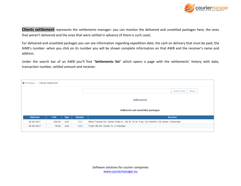

**Clients settlement** represents the settlements manager: you can monitor the delivered and unsettled packages here, the ones that weren't delivered and the ones that were settled in advance (if there is such case).

For delivered and unsettled packages you can see information regarding expedition date, the cash on delivery that must be paid, the AWB's number- when you click on its number you will be shown complete information on that AWB and the receiver's name and address.

Under the search bar of an AWB you'll find "**Settlements list**" which opens a page with the settlements' history with date, transaction number, settled amount and receiver.

|                                  | $\bigcirc$ Packages > Clients Settlement |             |               |                                         |                                                                                             |       |  |  |  |  |  |  |
|----------------------------------|------------------------------------------|-------------|---------------|-----------------------------------------|---------------------------------------------------------------------------------------------|-------|--|--|--|--|--|--|
|                                  |                                          |             |               |                                         | Search awb                                                                                  | Reset |  |  |  |  |  |  |
| Settlement list                  |                                          |             |               |                                         |                                                                                             |       |  |  |  |  |  |  |
| Delivered and unsettled packages |                                          |             |               |                                         |                                                                                             |       |  |  |  |  |  |  |
| <b>Delivered</b>                 | <b>COD</b>                               | <b>Type</b> | <b>Number</b> |                                         | <b>Receiver</b>                                                                             |       |  |  |  |  |  |  |
| 26-06-2017                       | 200.00                                   | cont        | 1927          |                                         | Maria Tanase Str. Stirbei Voda nr. 102 bl. 32 et. 4 ap. 132 interfon 132 sector 3 Bucuresti |       |  |  |  |  |  |  |
| 26-06-2017                       | 79.00                                    | cont        | 1929          | Tudor Ilie Str. Eroilor nr. 3 Voluntari |                                                                                             |       |  |  |  |  |  |  |
|                                  |                                          |             |               |                                         |                                                                                             |       |  |  |  |  |  |  |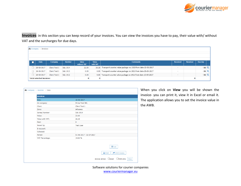

**Invoices**- in this section you can keep record of your invoices. You can view the invoices you have to pay, their value with/ without VAT and the surcharges for due days.

|                                             | $\bigotimes$ Company > Invoices |               |             |          |                                                                    |                          |                 |         |                                                 |  |  |  |  |
|---------------------------------------------|---------------------------------|---------------|-------------|----------|--------------------------------------------------------------------|--------------------------|-----------------|---------|-------------------------------------------------|--|--|--|--|
|                                             |                                 |               |             |          |                                                                    |                          |                 |         |                                                 |  |  |  |  |
| <b>Date</b>                                 | Company                         | <b>Number</b> | Value       | Value    | <b>Comments</b>                                                    | <b>Received</b>          | <b>Received</b> | Due day |                                                 |  |  |  |  |
|                                             |                                 |               | without VAT | with VAT |                                                                    |                          |                 |         |                                                 |  |  |  |  |
| 26-06-2017                                  | Client Test 1                   | Sdc 1014      | 22.00       |          | 26.18 Transport counter value package no 1920 from date 15-05-2017 | $\sim$                   |                 |         | $-36$ $Q$                                       |  |  |  |  |
| 26-06-2017                                  | Client Test 1                   | Sdc 1013      | 0.00        |          | 0.00 Transport counter value package no 1921 from date 15-05-2017  | $\overline{\phantom{a}}$ |                 |         | $-36$ <sup><sup><math>\oplus</math></sup></sup> |  |  |  |  |
| 26-06-2017                                  | Client Test 1                   | Sdc 1012      | 0.00        |          | 0.00 Transport counter value package no 1922 from date 15-05-2017  | $\overline{\phantom{a}}$ |                 |         | $-36$ <sup><sup><math>\oplus</math></sup></sup> |  |  |  |  |
| <b>Total selected invoices:</b><br>$\bf{0}$ |                                 | $\bf{0}$      |             |          | $\bf{0}$                                                           |                          |                 |         |                                                 |  |  |  |  |

| Date:           | 26-06-2017                        |  |  |  |  |
|-----------------|-----------------------------------|--|--|--|--|
| On company:     | <b>Firma Test SRL</b>             |  |  |  |  |
| Client:         | <b>Client Test 1</b>              |  |  |  |  |
| Zone:           | All zones                         |  |  |  |  |
| Series/ Number: | <b>Sdc 1014</b>                   |  |  |  |  |
| Value:          | 22.00                             |  |  |  |  |
| Value with VAT: | 26.18                             |  |  |  |  |
| Paid:           | $\bullet$                         |  |  |  |  |
| Issued by:      | Test User                         |  |  |  |  |
| In account:     |                                   |  |  |  |  |
| Collected:      |                                   |  |  |  |  |
| Period:         | $01 - 06 - 2017 - 31 - 07 - 2017$ |  |  |  |  |
| VAT Percentage: | 19.00 %                           |  |  |  |  |

When you click on **View** you will be shown the invoice- you can print it, view it in Excel or email it. The application allows you to set the invoice value in the AWB.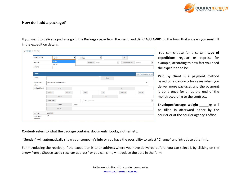

# **How do I add a package?**

If you want to deliver a package go in the **Packages** page from the menu and click "**Add AWB**". In the form that appears you must fill in the expedition details.

| ♥ Packages > Add AWB       |                               |          |                      |                     |                                         |                             |
|----------------------------|-------------------------------|----------|----------------------|---------------------|-----------------------------------------|-----------------------------|
| <b>Expedition type:</b>    | regular                       | v        | envelope             | $\checkmark$        | kg                                      |                             |
| Payment:                   | regular<br>express            |          |                      | Payed by:<br>Client | $\blacktriangledown$<br>Payment method: | contract                    |
| Content:                   |                               |          |                      |                     |                                         |                             |
| <b>Sender</b>              |                               |          |                      |                     |                                         | Switch sender with receiver |
| Sender:                    |                               |          |                      | from:               |                                         |                             |
| Choose saved<br>address    | Choose saved receiver address |          |                      |                     |                                         | $\overline{\mathbf{v}}$     |
| Sender address:            | Str"):                        |          |                      |                     | nr.                                     |                             |
|                            | Building                      | entrance | floor                | ap                  | intercom                                | sector                      |
|                            | County:                       |          |                      | City:               |                                         |                             |
|                            | Postal code:                  |          | - Pick postal code - |                     |                                         |                             |
|                            | Country:                      | Romania  |                      |                     |                                         |                             |
|                            | Phone:                        |          |                      |                     |                                         |                             |
| Sent time:                 | 01-08-2017                    |          |                      |                     |                                         |                             |
| Add to saved<br>addresses: | $\Box$                        |          |                      |                     |                                         |                             |

You can choose for a certain **type of expedition**: regular or express for example, according to how fast you need the expedition to be.

**Paid by client** is a payment method based on a contract- for cases when you deliver more packages and the payment is done once for all at the end of the month according to the contract.

**Envelope/Package weight-** kg will be filled in afterward either by the courier or at the courier agency's office.

**Content**- refers to what the package contains: documents, books, clothes, etc.

"**Sender**" will automatically show your company's info or you have the possibility to select "Change" and introduce other info.

For introducing the receiver, if the expedition is to an address where you have delivered before, you can select it by clicking on the arrow from " Choose saved receiver address" or you can simply introduce the data in the form.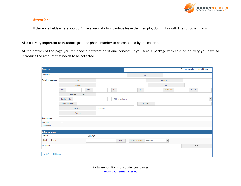

#### *Attention:*

If there are fields where you don't have any data to introduce leave them empty, don't fill in with lines or other marks.

Also it is very important to introduce just one phone number to be contacted by the courier.

At the bottom of the page you can choose different additional services. If you send a package with cash on delivery you have to introduce the amount that needs to be collected.

| <b>Receiver</b>              |                    | Choose saved receiver address |     |                      |  |                |        |          |              |        |            |              |
|------------------------------|--------------------|-------------------------------|-----|----------------------|--|----------------|--------|----------|--------------|--------|------------|--------------|
| Receiver:                    |                    |                               |     |                      |  |                | for:   |          |              |        |            |              |
| Receiver address:            | City:              |                               |     |                      |  |                |        |          | County:      |        |            |              |
|                              | Street:            |                               |     |                      |  |                |        |          | no.          |        |            |              |
|                              | Bld.               |                               | fl. |                      |  | ap.            |        | intercom |              | sector |            |              |
|                              | Address (optional) |                               |     |                      |  |                |        |          |              |        |            |              |
|                              | Postal code:       |                               |     | - Pick postal code - |  |                |        |          |              |        |            | $\checkmark$ |
|                              | Registration no    |                               |     |                      |  |                | VAT no |          |              |        |            |              |
|                              | Country:           | Romania                       |     |                      |  |                |        |          |              |        |            |              |
|                              | Phone:             |                               |     |                      |  |                |        |          |              |        |            |              |
| Comments:                    |                    |                               |     |                      |  |                |        |          |              |        |            |              |
| Add to saved<br>addresses:   | $\Box$             |                               |     |                      |  |                |        |          |              |        |            |              |
| <b>Extra services</b>        |                    |                               |     |                      |  |                |        |          |              |        |            |              |
| Return:                      |                    | $\Box$<br>Retur               |     |                      |  |                |        |          |              |        |            |              |
| Cash on Delivery:            |                    |                               |     | <b>PKR</b>           |  | Bank transfer: |        | account  | $\checkmark$ |        |            |              |
| Insurance:                   |                    |                               |     |                      |  |                |        |          |              |        | <b>PKR</b> |              |
| <b>X</b> Cancel<br>$\vee$ OK |                    |                               |     |                      |  |                |        |          |              |        |            |              |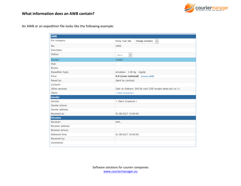

An AWB or an expedition file looks like the following example:

| <b>AWB</b>        |                                                            |
|-------------------|------------------------------------------------------------|
| For company:      | Firma Test SRL<br>Change company -<br>$\checkmark$         |
| No:               | 1946                                                       |
| Franchisor:       |                                                            |
| Status:           | $\checkmark$<br>active                                     |
| Courier:          | Curier1                                                    |
| Hub:              |                                                            |
| Route:            |                                                            |
| Expedition type:  | envelope 1.00 kg regular                                   |
| Price:            | 0.0 (zone national) Invoice AWB                            |
| Payed by:         | client by contract                                         |
| Content:          |                                                            |
| Other services:   | Cash on Delivery: 345.00 cont COD receipt series sdc no 11 |
| Client:           | = Client Ocazional =                                       |
| <b>Sender</b>     |                                                            |
| Sender:           | $=$ Client Ocazional $=$                                   |
| Sender phone:     |                                                            |
| Sender address:   |                                                            |
| Received at:      | 01-08-2017 14:54:00                                        |
| <b>Receiver</b>   |                                                            |
| Receiver:         | test,                                                      |
| Receiver address: |                                                            |
| Receiver phone:   |                                                            |
| Delivered time:   | 01-08-2017 24:00:00                                        |
| Received by:      |                                                            |
| Comments:         |                                                            |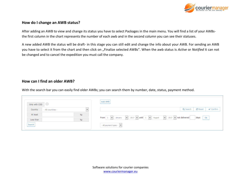

# **How do I change an AWB status?**

After adding an AWB to view and change its status you have to select Packages in the main menu. You will find a list of your AWBsthe first column in the chart represents the number of each awb and in the second column you can see their statuses.

A new added AWB the status will be draft- in this stage you can still edit and change the info about your AWB. For sending an AWB you have to select it from the chart and then click on "Finalize selected AWBs". When the awb status is Active or Notified it can not be changed and to cancel the expedition you must call the company.

# **How can I find an older AWB?**

With the search bar you can easily find older AWBs; you can search them by number, date, status, payment method.

| Only with COD |                   |              | Add AWB                                                                                               |          |                                |                               |  |
|---------------|-------------------|--------------|-------------------------------------------------------------------------------------------------------|----------|--------------------------------|-------------------------------|--|
| Country       | - All countries - | $\checkmark$ |                                                                                                       | Q Search | $\mathbf C$ Reset              | $\blacktriangleright$ Confirm |  |
| At least      | kg                |              | From $1 \times 3$ January $3 \times 2017 \times 101111 \times 4$ August $3 \times 1017 \times 101111$ |          | $\mathbf{0}\mathbf{k}$<br>days |                               |  |
| Less than     | kg                |              |                                                                                                       |          |                                |                               |  |
| <b>Search</b> |                   |              | - All payment types - $ \mathsf{v} $                                                                  |          |                                |                               |  |